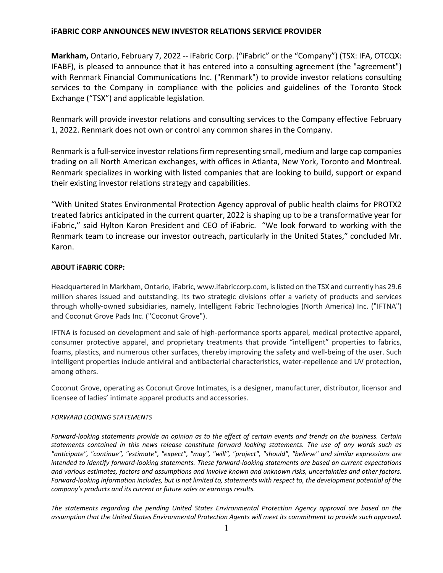## **iFABRIC CORP ANNOUNCES NEW INVESTOR RELATIONS SERVICE PROVIDER**

**Markham,** Ontario, February 7, 2022 -- iFabric Corp. ("iFabric" or the "Company") (TSX: IFA, OTCQX: IFABF), is pleased to announce that it has entered into a consulting agreement (the "agreement") with Renmark Financial Communications Inc. ("Renmark") to provide investor relations consulting services to the Company in compliance with the policies and guidelines of the Toronto Stock Exchange ("TSX") and applicable legislation.

Renmark will provide investor relations and consulting services to the Company effective February 1, 2022. Renmark does not own or control any common shares in the Company.

Renmark is a full-service investor relations firm representing small, medium and large cap companies trading on all North American exchanges, with offices in Atlanta, New York, Toronto and Montreal. Renmark specializes in working with listed companies that are looking to build, support or expand their existing investor relations strategy and capabilities.

"With United States Environmental Protection Agency approval of public health claims for PROTX2 treated fabrics anticipated in the current quarter, 2022 is shaping up to be a transformative year for iFabric," said Hylton Karon President and CEO of iFabric. "We look forward to working with the Renmark team to increase our investor outreach, particularly in the United States," concluded Mr. Karon.

## **ABOUT iFABRIC CORP:**

Headquartered in Markham, Ontario, iFabric, www.ifabriccorp.com, is listed on the TSX and currently has 29.6 million shares issued and outstanding. Its two strategic divisions offer a variety of products and services through wholly-owned subsidiaries, namely, Intelligent Fabric Technologies (North America) Inc. ("IFTNA") and Coconut Grove Pads Inc. ("Coconut Grove").

IFTNA is focused on development and sale of high-performance sports apparel, medical protective apparel, consumer protective apparel, and proprietary treatments that provide "intelligent" properties to fabrics, foams, plastics, and numerous other surfaces, thereby improving the safety and well-being of the user. Such intelligent properties include antiviral and antibacterial characteristics, water-repellence and UV protection, among others.

Coconut Grove, operating as Coconut Grove Intimates, is a designer, manufacturer, distributor, licensor and licensee of ladies' intimate apparel products and accessories.

## *FORWARD LOOKING STATEMENTS*

*Forward-looking statements provide an opinion as to the effect of certain events and trends on the business. Certain statements contained in this news release constitute forward looking statements. The use of any words such as "anticipate", "continue", "estimate", "expect", "may", "will", "project", "should", "believe" and similar expressions are intended to identify forward-looking statements. These forward-looking statements are based on current expectations and various estimates, factors and assumptions and involve known and unknown risks, uncertainties and other factors. Forward-looking information includes, but is not limited to, statements with respect to, the development potential of the company's products and its current or future sales or earnings results.*

*The statements regarding the pending United States Environmental Protection Agency approval are based on the assumption that the United States Environmental Protection Agents will meet its commitment to provide such approval.*